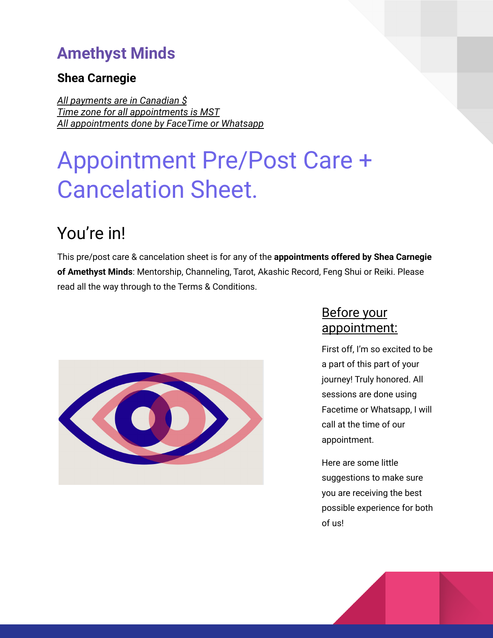### **Amethyst Minds**

### **Shea Carnegie**

*All payments are in Canadian \$ Time zone for all appointments is MST All appointments done by FaceTime or Whatsapp*

# Appointment Pre/Post Care + Cancelation Sheet.

# You're in!

This pre/post care & cancelation sheet is for any of the **appointments offered by Shea Carnegie of Amethyst Minds**: Mentorship, Channeling, Tarot, Akashic Record, Feng Shui or Reiki. Please read all the way through to the Terms & Conditions.



### Before your appointment:

First off, I'm so excited to be a part of this part of your journey! Truly honored. All sessions are done using Facetime or Whatsapp, I will call at the time of our appointment.

Here are some little suggestions to make sure you are receiving the best possible experience for both of us!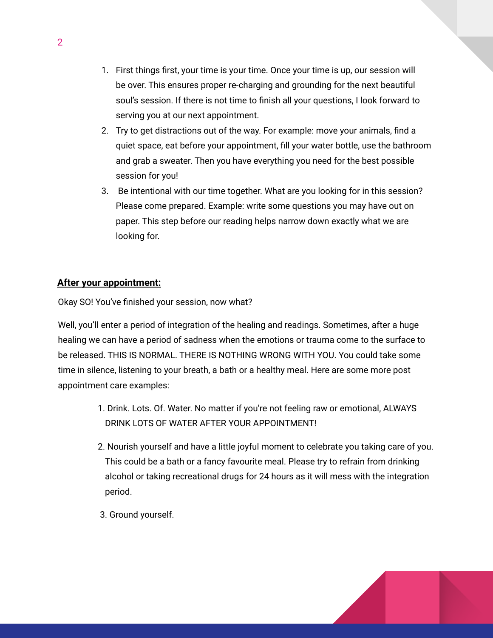- 1. First things first, your time is your time. Once your time is up, our session will be over. This ensures proper re-charging and grounding for the next beautiful soul's session. If there is not time to finish all your questions, I look forward to serving you at our next appointment.
- 2. Try to get distractions out of the way. For example: move your animals, find a quiet space, eat before your appointment, fill your water bottle, use the bathroom and grab a sweater. Then you have everything you need for the best possible session for you!
- 3. Be intentional with our time together. What are you looking for in this session? Please come prepared. Example: write some questions you may have out on paper. This step before our reading helps narrow down exactly what we are looking for.

### **After your appointment:**

Okay SO! You've finished your session, now what?

Well, you'll enter a period of integration of the healing and readings. Sometimes, after a huge healing we can have a period of sadness when the emotions or trauma come to the surface to be released. THIS IS NORMAL. THERE IS NOTHING WRONG WITH YOU. You could take some time in silence, listening to your breath, a bath or a healthy meal. Here are some more post appointment care examples:

- 1. Drink. Lots. Of. Water. No matter if you're not feeling raw or emotional, ALWAYS DRINK LOTS OF WATER AFTER YOUR APPOINTMENT!
- 2. Nourish yourself and have a little joyful moment to celebrate you taking care of you. This could be a bath or a fancy favourite meal. Please try to refrain from drinking alcohol or taking recreational drugs for 24 hours as it will mess with the integration period.
- 3. Ground yourself.

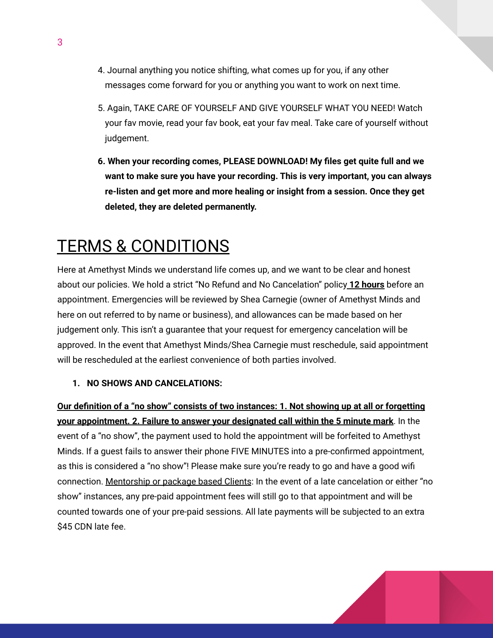- 4. Journal anything you notice shifting, what comes up for you, if any other messages come forward for you or anything you want to work on next time.
- 5. Again, TAKE CARE OF YOURSELF AND GIVE YOURSELF WHAT YOU NEED! Watch your fav movie, read your fav book, eat your fav meal. Take care of yourself without judgement.
- **6. When your recording comes, PLEASE DOWNLOAD! My files get quite full and we want to make sure you have your recording. This is very important, you can always re-listen and get more and more healing or insight from a session. Once they get deleted, they are deleted permanently.**

## TERMS & CONDITIONS

Here at Amethyst Minds we understand life comes up, and we want to be clear and honest about our policies. We hold a strict "No Refund and No Cancelation" policy **12 hours** before an appointment. Emergencies will be reviewed by Shea Carnegie (owner of Amethyst Minds and here on out referred to by name or business), and allowances can be made based on her judgement only. This isn't a guarantee that your request for emergency cancelation will be approved. In the event that Amethyst Minds/Shea Carnegie must reschedule, said appointment will be rescheduled at the earliest convenience of both parties involved.

#### **1. NO SHOWS AND CANCELATIONS:**

**Our definition of a "no show" consists of two instances: 1. Not showing up at all or forgetting your appointment. 2. Failure to answer your designated call within the 5 minute mark**. In the event of a "no show", the payment used to hold the appointment will be forfeited to Amethyst Minds. If a guest fails to answer their phone FIVE MINUTES into a pre-confirmed appointment, as this is considered a "no show"! Please make sure you're ready to go and have a good wifi connection. Mentorship or package based Clients: In the event of a late cancelation or either "no show" instances, any pre-paid appointment fees will still go to that appointment and will be counted towards one of your pre-paid sessions. All late payments will be subjected to an extra \$45 CDN late fee.

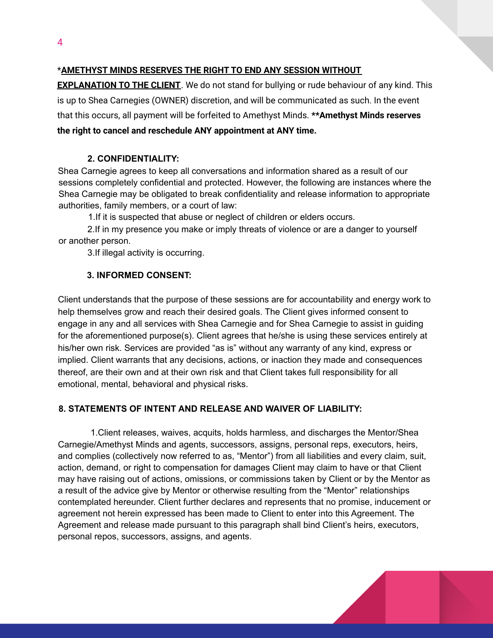### \***AMETHYST MINDS RESERVES THE RIGHT TO END ANY SESSION WITHOUT**

**EXPLANATION TO THE CLIENT**. We do not stand for bullying or rude behaviour of any kind. This is up to Shea Carnegies (OWNER) discretion, and will be communicated as such. In the event that this occurs, all payment will be forfeited to Amethyst Minds. **\*\*Amethyst Minds reserves the right to cancel and reschedule ANY appointment at ANY time.**

### **2. CONFIDENTIALITY:**

Shea Carnegie agrees to keep all conversations and information shared as a result of our sessions completely confidential and protected. However, the following are instances where the Shea Carnegie may be obligated to break confidentiality and release information to appropriate authorities, family members, or a court of law:

1.If it is suspected that abuse or neglect of children or elders occurs.

2.If in my presence you make or imply threats of violence or are a danger to yourself or another person.

3.If illegal activity is occurring.

### **3. INFORMED CONSENT:**

Client understands that the purpose of these sessions are for accountability and energy work to help themselves grow and reach their desired goals. The Client gives informed consent to engage in any and all services with Shea Carnegie and for Shea Carnegie to assist in guiding for the aforementioned purpose(s). Client agrees that he/she is using these services entirely at his/her own risk. Services are provided "as is" without any warranty of any kind, express or implied. Client warrants that any decisions, actions, or inaction they made and consequences thereof, are their own and at their own risk and that Client takes full responsibility for all emotional, mental, behavioral and physical risks.

#### **8. STATEMENTS OF INTENT AND RELEASE AND WAIVER OF LIABILITY:**

1.Client releases, waives, acquits, holds harmless, and discharges the Mentor/Shea Carnegie/Amethyst Minds and agents, successors, assigns, personal reps, executors, heirs, and complies (collectively now referred to as, "Mentor") from all liabilities and every claim, suit, action, demand, or right to compensation for damages Client may claim to have or that Client may have raising out of actions, omissions, or commissions taken by Client or by the Mentor as a result of the advice give by Mentor or otherwise resulting from the "Mentor" relationships contemplated hereunder. Client further declares and represents that no promise, inducement or agreement not herein expressed has been made to Client to enter into this Agreement. The Agreement and release made pursuant to this paragraph shall bind Client's heirs, executors, personal repos, successors, assigns, and agents.